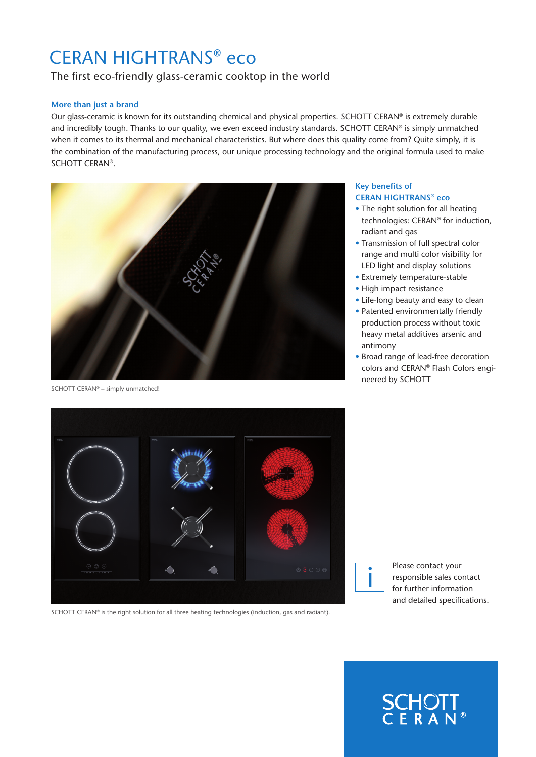# CERAN HIGHTRANS® eco

# The first eco-friendly glass-ceramic cooktop in the world

# **More than just a brand**

Our glass-ceramic is known for its outstanding chemical and physical properties. SCHOTT CERAN® is extremely durable and incredibly tough. Thanks to our quality, we even exceed industry standards. SCHOTT CERAN® is simply unmatched when it comes to its thermal and mechanical characteristics. But where does this quality come from? Quite simply, it is the combination of the manufacturing process, our unique processing technology and the original formula used to make SCHOTT CERAN®.



SCHOTT CERAN® – simply unmatched!

#### **Key benefits of CERAN HIGHTRANS® eco**

- The right solution for all heating technologies: CERAN® for induction, radiant and gas
- Transmission of full spectral color range and multi color visibility for LED light and display solutions
- Extremely temperature-stable
- High impact resistance
- Life-long beauty and easy to clean
- Patented environmentally friendly production process without toxic heavy metal additives arsenic and antimony
- Broad range of lead-free decoration colors and CERAN® Flash Colors engineered by SCHOTT



SCHOTT CERAN® is the right solution for all three heating technologies (induction, gas and radiant).



Please contact your responsible sales contact for further information and detailed specifications.